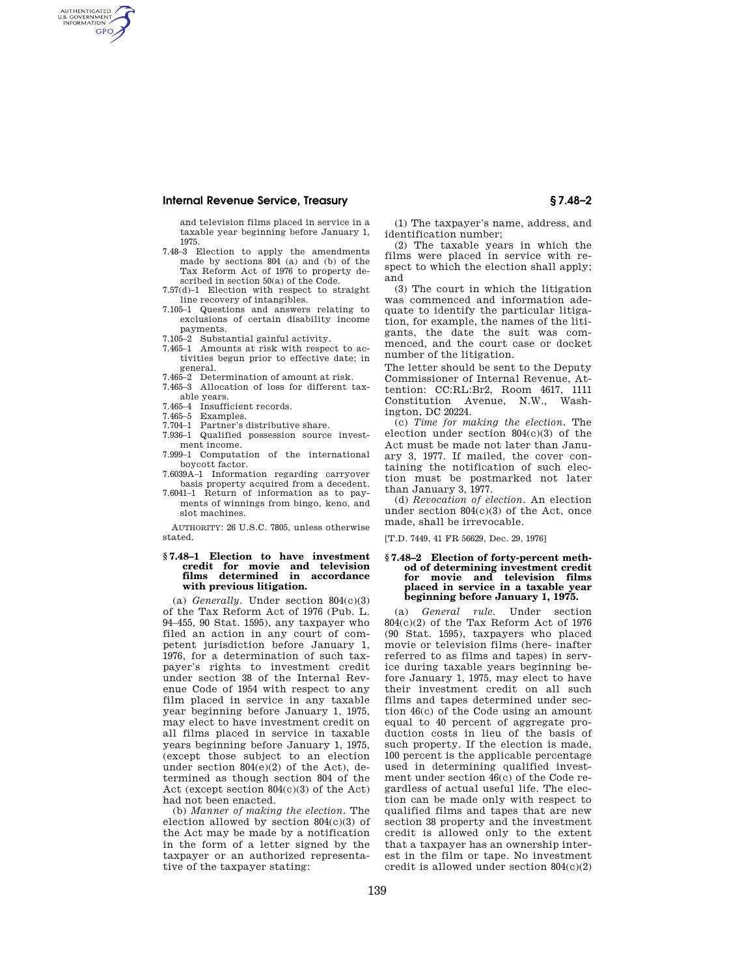## **Internal Revenue Service, Treasury § 7.48–2**

and television films placed in service in a taxable year beginning before January 1, 1975.

- 7.48–3 Election to apply the amendments made by sections  $804$  (a) and (b) of the Tax Reform Act of 1976 to property described in section 50(a) of the Code.
- 7.57(d)–1 Election with respect to straight line recovery of intangibles.
- 7.105–1 Questions and answers relating to exclusions of certain disability income payments.
- 7.105–2 Substantial gainful activity.
- 7.465–1 Amounts at risk with respect to activities begun prior to effective date; in general.
- 7.465–2 Determination of amount at risk.
- 7.465–3 Allocation of loss for different taxable years.
- 7.465–4 Insufficient records.
- 7.465–5 Examples.

AUTHENTICATED<br>U.S. GOVERNMENT<br>INFORMATION **GPO** 

- 7.704–1 Partner's distributive share. 7.936–1 Qualified possession source invest-
- ment income.
- 7.999–1 Computation of the international boycott factor.
- 7.6039A–1 Information regarding carryover basis property acquired from a decedent.
- 7.6041–1 Return of information as to payments of winnings from bingo, keno, and slot machines.

AUTHORITY: 26 U.S.C. 7805, unless otherwise stated.

#### **§ 7.48–1 Election to have investment credit for movie and television films determined in accordance with previous litigation.**

(a) *Generally.* Under section 804(c)(3) of the Tax Reform Act of 1976 (Pub. L. 94–455, 90 Stat. 1595), any taxpayer who filed an action in any court of competent jurisdiction before January 1, 1976, for a determination of such taxpayer's rights to investment credit under section 38 of the Internal Revenue Code of 1954 with respect to any film placed in service in any taxable year beginning before January 1, 1975, may elect to have investment credit on all films placed in service in taxable years beginning before January 1, 1975, (except those subject to an election under section 804(e)(2) of the Act), determined as though section 804 of the Act (except section 804(c)(3) of the Act) had not been enacted.

(b) *Manner of making the election.* The election allowed by section 804(c)(3) of the Act may be made by a notification in the form of a letter signed by the taxpayer or an authorized representative of the taxpayer stating:

(1) The taxpayer's name, address, and identification number;

(2) The taxable years in which the films were placed in service with respect to which the election shall apply; and

(3) The court in which the litigation was commenced and information adequate to identify the particular litigation, for example, the names of the litigants, the date the suit was commenced, and the court case or docket number of the litigation.

The letter should be sent to the Deputy Commissioner of Internal Revenue, Attention: CC:RL:Br2, Room 4617, 1111 Constitution Avenue, N.W., Washington, DC 20224.

(c) *Time for making the election.* The election under section 804(c)(3) of the Act must be made not later than January 3, 1977. If mailed, the cover containing the notification of such election must be postmarked not later than January 3, 1977.

(d) *Revocation of election.* An election under section 804(c)(3) of the Act, once made, shall be irrevocable.

[T.D. 7449, 41 FR 56629, Dec. 29, 1976]

### **§ 7.48–2 Election of forty-percent method of determining investment credit for movie and television films placed in service in a taxable year beginning before January 1, 1975.**

(a) *General rule.* Under section 804(c)(2) of the Tax Reform Act of 1976 (90 Stat. 1595), taxpayers who placed movie or television films (here- inafter referred to as films and tapes) in service during taxable years beginning before January 1, 1975, may elect to have their investment credit on all such films and tapes determined under section 46(c) of the Code using an amount equal to 40 percent of aggregate production costs in lieu of the basis of such property. If the election is made, 100 percent is the applicable percentage used in determining qualified investment under section 46(c) of the Code regardless of actual useful life. The election can be made only with respect to qualified films and tapes that are new section 38 property and the investment credit is allowed only to the extent that a taxpayer has an ownership interest in the film or tape. No investment credit is allowed under section 804(c)(2)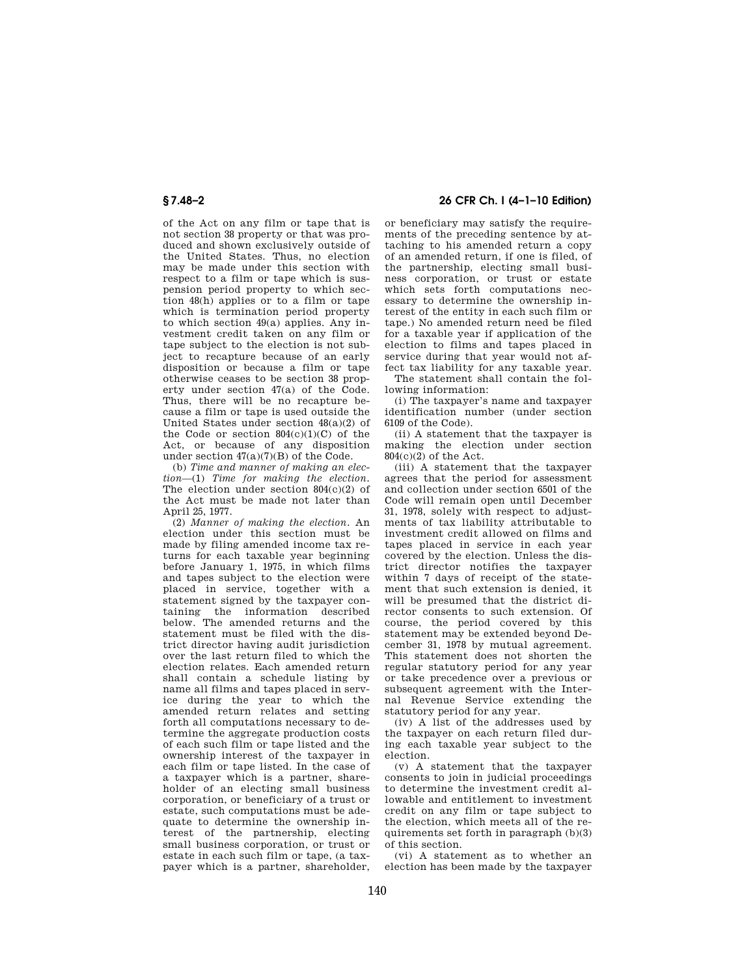of the Act on any film or tape that is not section 38 property or that was produced and shown exclusively outside of the United States. Thus, no election may be made under this section with respect to a film or tape which is suspension period property to which section 48(h) applies or to a film or tape which is termination period property to which section 49(a) applies. Any investment credit taken on any film or tape subject to the election is not subject to recapture because of an early disposition or because a film or tape otherwise ceases to be section 38 property under section 47(a) of the Code. Thus, there will be no recapture because a film or tape is used outside the United States under section 48(a)(2) of the Code or section  $804(c)(1)(C)$  of the Act, or because of any disposition under section  $47(a)(7)(B)$  of the Code.

(b) *Time and manner of making an election*—(1) *Time for making the election.*  The election under section 804(c)(2) of the Act must be made not later than April 25, 1977.

(2) *Manner of making the election.* An election under this section must be made by filing amended income tax returns for each taxable year beginning before January 1, 1975, in which films and tapes subject to the election were placed in service, together with a statement signed by the taxpayer containing the information described below. The amended returns and the statement must be filed with the district director having audit jurisdiction over the last return filed to which the election relates. Each amended return shall contain a schedule listing by name all films and tapes placed in service during the year to which the amended return relates and setting forth all computations necessary to determine the aggregate production costs of each such film or tape listed and the ownership interest of the taxpayer in each film or tape listed. In the case of a taxpayer which is a partner, shareholder of an electing small business corporation, or beneficiary of a trust or estate, such computations must be adequate to determine the ownership interest of the partnership, electing small business corporation, or trust or estate in each such film or tape, (a taxpayer which is a partner, shareholder,

# **§ 7.48–2 26 CFR Ch. I (4–1–10 Edition)**

or beneficiary may satisfy the requirements of the preceding sentence by attaching to his amended return a copy of an amended return, if one is filed, of the partnership, electing small business corporation, or trust or estate which sets forth computations necessary to determine the ownership interest of the entity in each such film or tape.) No amended return need be filed for a taxable year if application of the election to films and tapes placed in service during that year would not affect tax liability for any taxable year.

The statement shall contain the following information:

(i) The taxpayer's name and taxpayer identification number (under section 6109 of the Code).

(ii) A statement that the taxpayer is making the election under section 804(c)(2) of the Act.

(iii) A statement that the taxpayer agrees that the period for assessment and collection under section 6501 of the Code will remain open until December 31, 1978, solely with respect to adjustments of tax liability attributable to investment credit allowed on films and tapes placed in service in each year covered by the election. Unless the district director notifies the taxpayer within 7 days of receipt of the statement that such extension is denied, it will be presumed that the district director consents to such extension. Of course, the period covered by this statement may be extended beyond December 31, 1978 by mutual agreement. This statement does not shorten the regular statutory period for any year or take precedence over a previous or subsequent agreement with the Internal Revenue Service extending the statutory period for any year.

(iv) A list of the addresses used by the taxpayer on each return filed during each taxable year subject to the election.

(v) A statement that the taxpayer consents to join in judicial proceedings to determine the investment credit allowable and entitlement to investment credit on any film or tape subject to the election, which meets all of the requirements set forth in paragraph (b)(3) of this section.

(vi) A statement as to whether an election has been made by the taxpayer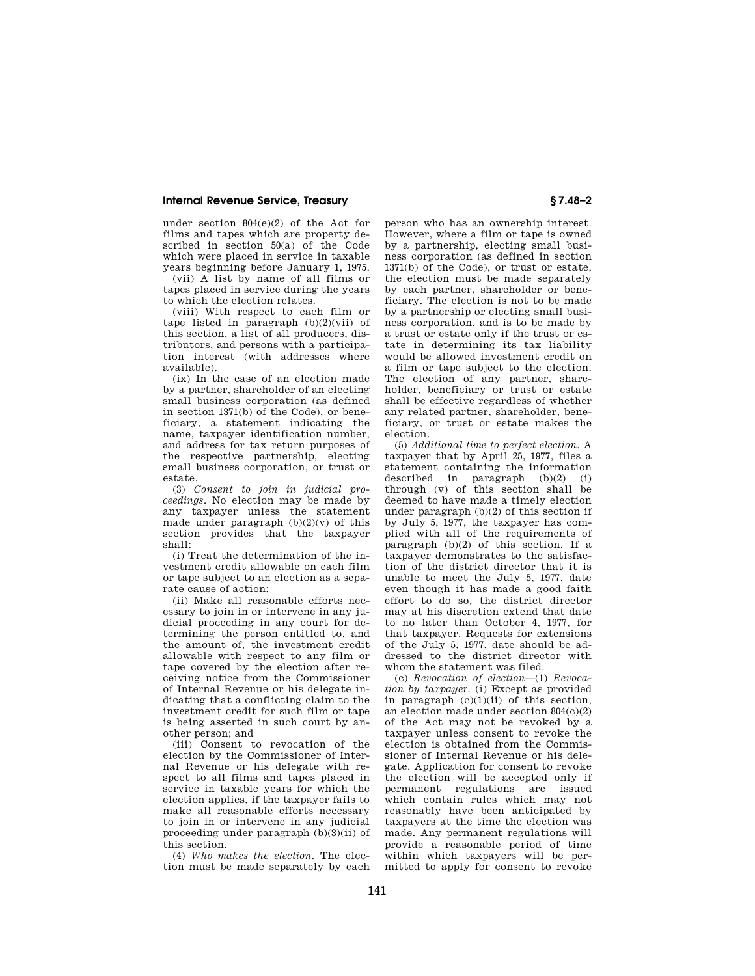### **Internal Revenue Service, Treasury § 7.48–2**

under section 804(e)(2) of the Act for films and tapes which are property described in section 50(a) of the Code which were placed in service in taxable years beginning before January 1, 1975.

(vii) A list by name of all films or tapes placed in service during the years to which the election relates.

(viii) With respect to each film or tape listed in paragraph (b)(2)(vii) of this section, a list of all producers, distributors, and persons with a participation interest (with addresses where available).

(ix) In the case of an election made by a partner, shareholder of an electing small business corporation (as defined in section 1371(b) of the Code), or beneficiary, a statement indicating the name, taxpayer identification number, and address for tax return purposes of the respective partnership, electing small business corporation, or trust or estate.

(3) *Consent to join in judicial proceedings.* No election may be made by any taxpayer unless the statement made under paragraph  $(b)(2)(v)$  of this section provides that the taxpayer shall:

(i) Treat the determination of the investment credit allowable on each film or tape subject to an election as a separate cause of action;

(ii) Make all reasonable efforts necessary to join in or intervene in any judicial proceeding in any court for determining the person entitled to, and the amount of, the investment credit allowable with respect to any film or tape covered by the election after receiving notice from the Commissioner of Internal Revenue or his delegate indicating that a conflicting claim to the investment credit for such film or tape is being asserted in such court by another person; and

(iii) Consent to revocation of the election by the Commissioner of Internal Revenue or his delegate with respect to all films and tapes placed in service in taxable years for which the election applies, if the taxpayer fails to make all reasonable efforts necessary to join in or intervene in any judicial proceeding under paragraph (b)(3)(ii) of this section.

(4) *Who makes the election.* The election must be made separately by each

person who has an ownership interest. However, where a film or tape is owned by a partnership, electing small business corporation (as defined in section 1371(b) of the Code), or trust or estate, the election must be made separately by each partner, shareholder or beneficiary. The election is not to be made by a partnership or electing small business corporation, and is to be made by a trust or estate only if the trust or estate in determining its tax liability would be allowed investment credit on a film or tape subject to the election. The election of any partner, shareholder, beneficiary or trust or estate shall be effective regardless of whether any related partner, shareholder, beneficiary, or trust or estate makes the election.

(5) *Additional time to perfect election.* A taxpayer that by April 25, 1977, files a statement containing the information described in paragraph (b)(2) (i) through (v) of this section shall be deemed to have made a timely election under paragraph (b)(2) of this section if by July 5, 1977, the taxpayer has complied with all of the requirements of paragraph (b)(2) of this section. If a taxpayer demonstrates to the satisfaction of the district director that it is unable to meet the July 5, 1977, date even though it has made a good faith effort to do so, the district director may at his discretion extend that date to no later than October 4, 1977, for that taxpayer. Requests for extensions of the July 5, 1977, date should be addressed to the district director with whom the statement was filed.

(c) *Revocation of election*—(1) *Revocation by taxpayer.* (i) Except as provided in paragraph  $(c)(1)(ii)$  of this section, an election made under section 804(c)(2) of the Act may not be revoked by a taxpayer unless consent to revoke the election is obtained from the Commissioner of Internal Revenue or his delegate. Application for consent to revoke the election will be accepted only if permanent regulations are issued which contain rules which may not reasonably have been anticipated by taxpayers at the time the election was made. Any permanent regulations will provide a reasonable period of time within which taxpayers will be permitted to apply for consent to revoke